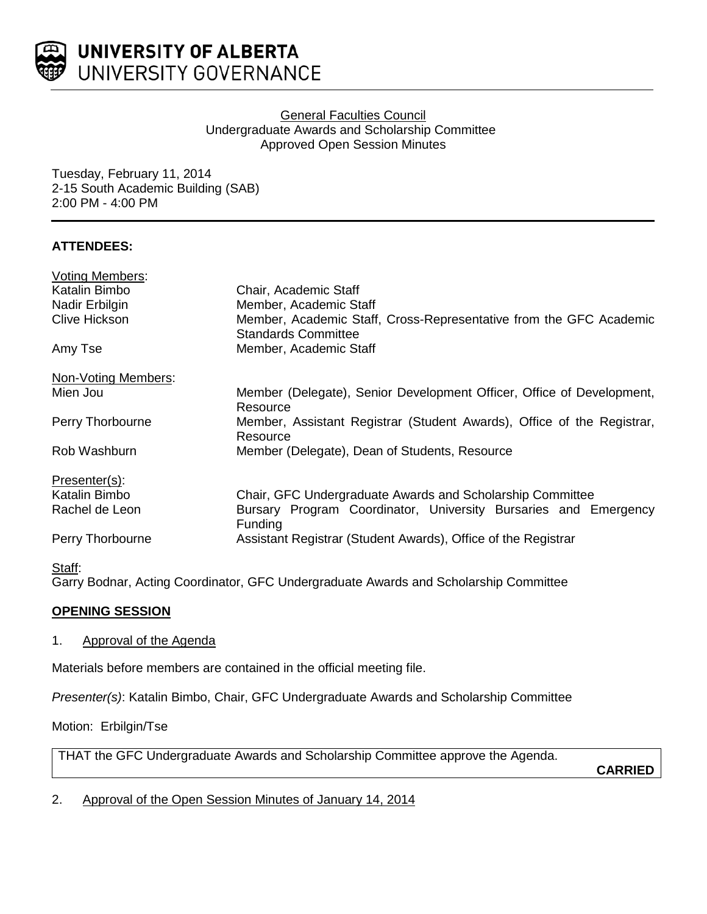

## General Faculties Council Undergraduate Awards and Scholarship Committee Approved Open Session Minutes

Tuesday, February 11, 2014 2-15 South Academic Building (SAB) 2:00 PM - 4:00 PM

# **ATTENDEES:**

| <b>Voting Members:</b> |                                                                                                  |
|------------------------|--------------------------------------------------------------------------------------------------|
| Katalin Bimbo          | Chair, Academic Staff                                                                            |
| Nadir Erbilgin         | Member, Academic Staff                                                                           |
| <b>Clive Hickson</b>   | Member, Academic Staff, Cross-Representative from the GFC Academic<br><b>Standards Committee</b> |
| Amy Tse                | Member, Academic Staff                                                                           |
| Non-Voting Members:    |                                                                                                  |
| Mien Jou               | Member (Delegate), Senior Development Officer, Office of Development,<br>Resource                |
| Perry Thorbourne       | Member, Assistant Registrar (Student Awards), Office of the Registrar,<br>Resource               |
| Rob Washburn           | Member (Delegate), Dean of Students, Resource                                                    |
| Presenter(s):          |                                                                                                  |
| Katalin Bimbo          | Chair, GFC Undergraduate Awards and Scholarship Committee                                        |
| Rachel de Leon         | Bursary Program Coordinator, University Bursaries and Emergency<br><b>Funding</b>                |
| Perry Thorbourne       | Assistant Registrar (Student Awards), Office of the Registrar                                    |
| Staff:                 |                                                                                                  |

Garry Bodnar, Acting Coordinator, GFC Undergraduate Awards and Scholarship Committee

# **OPENING SESSION**

## 1. Approval of the Agenda

Materials before members are contained in the official meeting file.

*Presenter(s)*: Katalin Bimbo, Chair, GFC Undergraduate Awards and Scholarship Committee

Motion: Erbilgin/Tse

THAT the GFC Undergraduate Awards and Scholarship Committee approve the Agenda.

**CARRIED**

2. Approval of the Open Session Minutes of January 14, 2014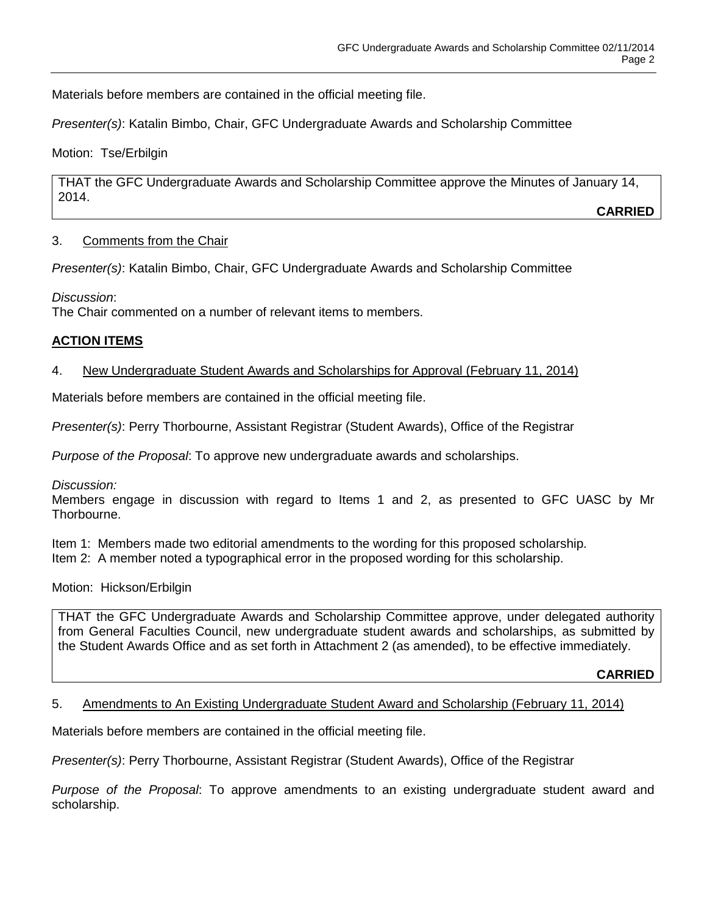Materials before members are contained in the official meeting file.

*Presenter(s)*: Katalin Bimbo, Chair, GFC Undergraduate Awards and Scholarship Committee

Motion: Tse/Erbilgin

THAT the GFC Undergraduate Awards and Scholarship Committee approve the Minutes of January 14, 2014.

**CARRIED**

## 3. Comments from the Chair

*Presenter(s)*: Katalin Bimbo, Chair, GFC Undergraduate Awards and Scholarship Committee

*Discussion*:

The Chair commented on a number of relevant items to members.

## **ACTION ITEMS**

## 4. New Undergraduate Student Awards and Scholarships for Approval (February 11, 2014)

Materials before members are contained in the official meeting file.

*Presenter(s)*: Perry Thorbourne, Assistant Registrar (Student Awards), Office of the Registrar

*Purpose of the Proposal*: To approve new undergraduate awards and scholarships.

*Discussion:*

Members engage in discussion with regard to Items 1 and 2, as presented to GFC UASC by Mr Thorbourne.

Item 1: Members made two editorial amendments to the wording for this proposed scholarship.

Item 2: A member noted a typographical error in the proposed wording for this scholarship.

Motion: Hickson/Erbilgin

THAT the GFC Undergraduate Awards and Scholarship Committee approve, under delegated authority from General Faculties Council, new undergraduate student awards and scholarships, as submitted by the Student Awards Office and as set forth in Attachment 2 (as amended), to be effective immediately.

**CARRIED**

### 5. Amendments to An Existing Undergraduate Student Award and Scholarship (February 11, 2014)

Materials before members are contained in the official meeting file.

*Presenter(s)*: Perry Thorbourne, Assistant Registrar (Student Awards), Office of the Registrar

*Purpose of the Proposal*: To approve amendments to an existing undergraduate student award and scholarship.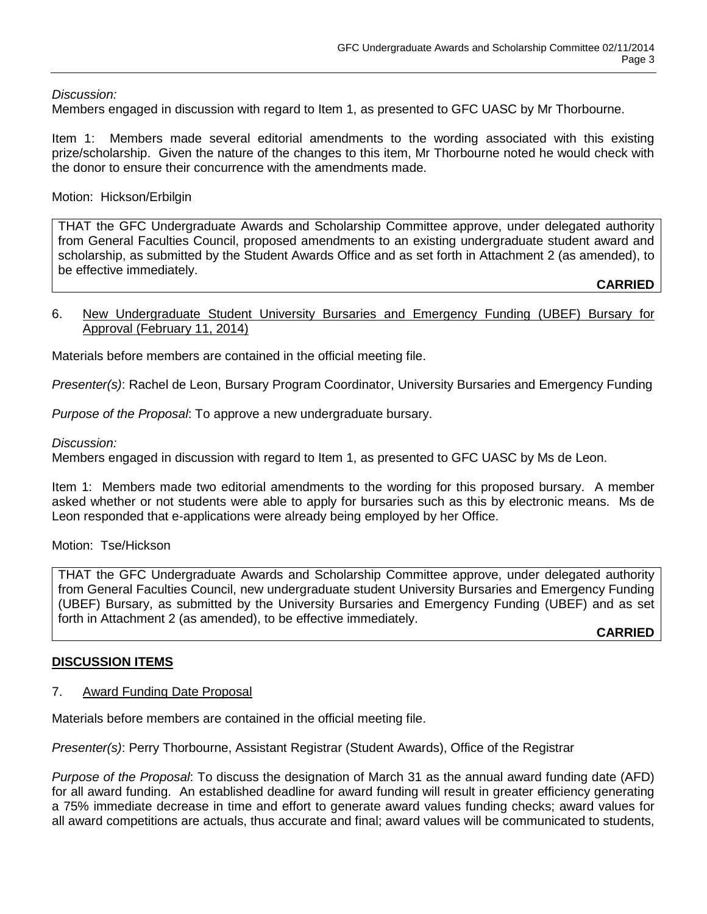*Discussion:*

Members engaged in discussion with regard to Item 1, as presented to GFC UASC by Mr Thorbourne.

Item 1: Members made several editorial amendments to the wording associated with this existing prize/scholarship. Given the nature of the changes to this item, Mr Thorbourne noted he would check with the donor to ensure their concurrence with the amendments made.

### Motion: Hickson/Erbilgin

THAT the GFC Undergraduate Awards and Scholarship Committee approve, under delegated authority from General Faculties Council, proposed amendments to an existing undergraduate student award and scholarship, as submitted by the Student Awards Office and as set forth in Attachment 2 (as amended), to be effective immediately.

**CARRIED**

#### 6. New Undergraduate Student University Bursaries and Emergency Funding (UBEF) Bursary for Approval (February 11, 2014)

Materials before members are contained in the official meeting file.

*Presenter(s)*: Rachel de Leon, Bursary Program Coordinator, University Bursaries and Emergency Funding

*Purpose of the Proposal*: To approve a new undergraduate bursary.

*Discussion:*

Members engaged in discussion with regard to Item 1, as presented to GFC UASC by Ms de Leon.

Item 1: Members made two editorial amendments to the wording for this proposed bursary. A member asked whether or not students were able to apply for bursaries such as this by electronic means. Ms de Leon responded that e-applications were already being employed by her Office.

Motion: Tse/Hickson

THAT the GFC Undergraduate Awards and Scholarship Committee approve, under delegated authority from General Faculties Council, new undergraduate student University Bursaries and Emergency Funding (UBEF) Bursary, as submitted by the University Bursaries and Emergency Funding (UBEF) and as set forth in Attachment 2 (as amended), to be effective immediately.

**CARRIED**

## **DISCUSSION ITEMS**

#### 7. Award Funding Date Proposal

Materials before members are contained in the official meeting file.

*Presenter(s)*: Perry Thorbourne, Assistant Registrar (Student Awards), Office of the Registrar

*Purpose of the Proposal*: To discuss the designation of March 31 as the annual award funding date (AFD) for all award funding. An established deadline for award funding will result in greater efficiency generating a 75% immediate decrease in time and effort to generate award values funding checks; award values for all award competitions are actuals, thus accurate and final; award values will be communicated to students,